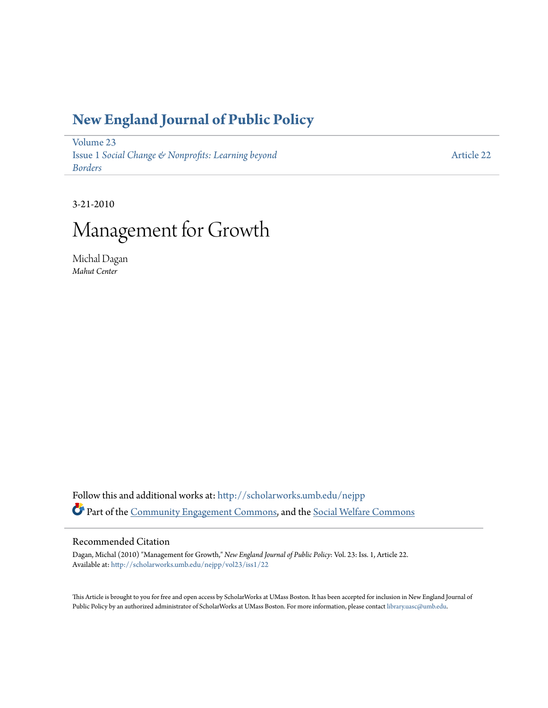### **[New England Journal of Public Policy](http://scholarworks.umb.edu/nejpp?utm_source=scholarworks.umb.edu%2Fnejpp%2Fvol23%2Fiss1%2F22&utm_medium=PDF&utm_campaign=PDFCoverPages)**

[Volume 23](http://scholarworks.umb.edu/nejpp/vol23?utm_source=scholarworks.umb.edu%2Fnejpp%2Fvol23%2Fiss1%2F22&utm_medium=PDF&utm_campaign=PDFCoverPages) Issue 1 *[Social Change & Nonprofits: Learning beyond](http://scholarworks.umb.edu/nejpp/vol23/iss1?utm_source=scholarworks.umb.edu%2Fnejpp%2Fvol23%2Fiss1%2F22&utm_medium=PDF&utm_campaign=PDFCoverPages) [Borders](http://scholarworks.umb.edu/nejpp/vol23/iss1?utm_source=scholarworks.umb.edu%2Fnejpp%2Fvol23%2Fiss1%2F22&utm_medium=PDF&utm_campaign=PDFCoverPages)*

[Article 22](http://scholarworks.umb.edu/nejpp/vol23/iss1/22?utm_source=scholarworks.umb.edu%2Fnejpp%2Fvol23%2Fiss1%2F22&utm_medium=PDF&utm_campaign=PDFCoverPages)

3-21-2010

# Management for Growth

Michal Dagan *Mahut Center*

Follow this and additional works at: [http://scholarworks.umb.edu/nejpp](http://scholarworks.umb.edu/nejpp?utm_source=scholarworks.umb.edu%2Fnejpp%2Fvol23%2Fiss1%2F22&utm_medium=PDF&utm_campaign=PDFCoverPages) Part of the [Community Engagement Commons](http://network.bepress.com/hgg/discipline/1028?utm_source=scholarworks.umb.edu%2Fnejpp%2Fvol23%2Fiss1%2F22&utm_medium=PDF&utm_campaign=PDFCoverPages), and the [Social Welfare Commons](http://network.bepress.com/hgg/discipline/401?utm_source=scholarworks.umb.edu%2Fnejpp%2Fvol23%2Fiss1%2F22&utm_medium=PDF&utm_campaign=PDFCoverPages)

#### Recommended Citation

Dagan, Michal (2010) "Management for Growth," *New England Journal of Public Policy*: Vol. 23: Iss. 1, Article 22. Available at: [http://scholarworks.umb.edu/nejpp/vol23/iss1/22](http://scholarworks.umb.edu/nejpp/vol23/iss1/22?utm_source=scholarworks.umb.edu%2Fnejpp%2Fvol23%2Fiss1%2F22&utm_medium=PDF&utm_campaign=PDFCoverPages)

This Article is brought to you for free and open access by ScholarWorks at UMass Boston. It has been accepted for inclusion in New England Journal of Public Policy by an authorized administrator of ScholarWorks at UMass Boston. For more information, please contact [library.uasc@umb.edu](mailto:library.uasc@umb.edu).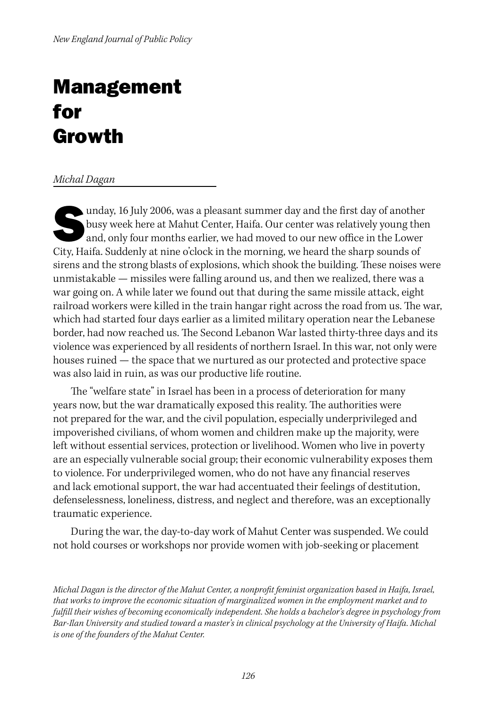## Management for Growth

#### *Michal Dagan*

Sunday, 16 July 2006, was a pleasant summer day and the first day of another busy week here at Mahut Center, Haifa. Our center was relatively young then and, only four months earlier, we had moved to our new office in the Lower City, Haifa. Suddenly at nine o'clock in the morning, we heard the sharp sounds of sirens and the strong blasts of explosions, which shook the building. These noises were unmistakable — missiles were falling around us, and then we realized, there was a war going on. A while later we found out that during the same missile attack, eight railroad workers were killed in the train hangar right across the road from us. The war, which had started four days earlier as a limited military operation near the Lebanese border, had now reached us. The Second Lebanon War lasted thirty-three days and its violence was experienced by all residents of northern Israel. In this war, not only were houses ruined — the space that we nurtured as our protected and protective space was also laid in ruin, as was our productive life routine.

The "welfare state" in Israel has been in a process of deterioration for many years now, but the war dramatically exposed this reality. The authorities were not prepared for the war, and the civil population, especially underprivileged and impoverished civilians, of whom women and children make up the majority, were left without essential services, protection or livelihood. Women who live in poverty are an especially vulnerable social group; their economic vulnerability exposes them to violence. For underprivileged women, who do not have any financial reserves and lack emotional support, the war had accentuated their feelings of destitution, defenselessness, loneliness, distress, and neglect and therefore, was an exceptionally traumatic experience.

During the war, the day-to-day work of Mahut Center was suspended. We could not hold courses or workshops nor provide women with job-seeking or placement

*Michal Dagan is the director of the Mahut Center, a nonprofit feminist organization based in Haifa, Israel, that works to improve the economic situation of marginalized women in the employment market and to fulfill their wishes of becoming economically independent. She holds a bachelor's degree in psychology from Bar-Ilan University and studied toward a master's in clinical psychology at the University of Haifa. Michal is one of the founders of the Mahut Center.*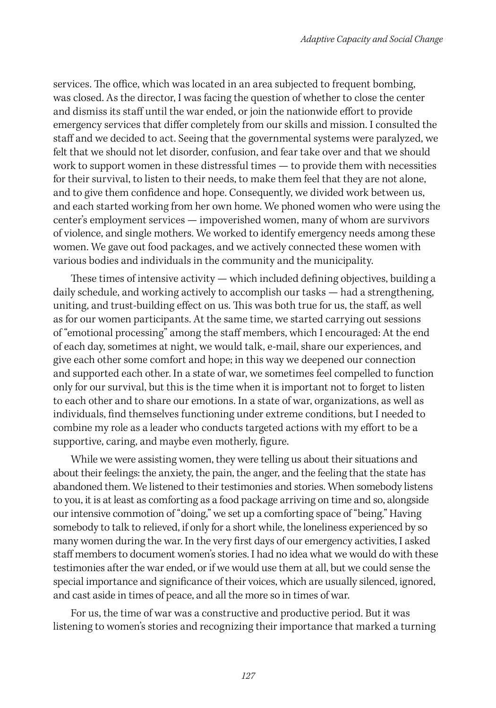services. The office, which was located in an area subjected to frequent bombing, was closed. As the director, I was facing the question of whether to close the center and dismiss its staff until the war ended, or join the nationwide effort to provide emergency services that differ completely from our skills and mission. I consulted the staff and we decided to act. Seeing that the governmental systems were paralyzed, we felt that we should not let disorder, confusion, and fear take over and that we should work to support women in these distressful times — to provide them with necessities for their survival, to listen to their needs, to make them feel that they are not alone, and to give them confidence and hope. Consequently, we divided work between us, and each started working from her own home. We phoned women who were using the center's employment services — impoverished women, many of whom are survivors of violence, and single mothers. We worked to identify emergency needs among these women. We gave out food packages, and we actively connected these women with various bodies and individuals in the community and the municipality.

These times of intensive activity — which included defining objectives, building a daily schedule, and working actively to accomplish our tasks — had a strengthening, uniting, and trust-building effect on us. This was both true for us, the staff, as well as for our women participants. At the same time, we started carrying out sessions of "emotional processing" among the staff members, which I encouraged: At the end of each day, sometimes at night, we would talk, e-mail, share our experiences, and give each other some comfort and hope; in this way we deepened our connection and supported each other. In a state of war, we sometimes feel compelled to function only for our survival, but this is the time when it is important not to forget to listen to each other and to share our emotions. In a state of war, organizations, as well as individuals, find themselves functioning under extreme conditions, but I needed to combine my role as a leader who conducts targeted actions with my effort to be a supportive, caring, and maybe even motherly, figure.

While we were assisting women, they were telling us about their situations and about their feelings: the anxiety, the pain, the anger, and the feeling that the state has abandoned them. We listened to their testimonies and stories. When somebody listens to you, it is at least as comforting as a food package arriving on time and so, alongside our intensive commotion of "doing," we set up a comforting space of "being." Having somebody to talk to relieved, if only for a short while, the loneliness experienced by so many women during the war. In the very first days of our emergency activities, I asked staff members to document women's stories. I had no idea what we would do with these testimonies after the war ended, or if we would use them at all, but we could sense the special importance and significance of their voices, which are usually silenced, ignored, and cast aside in times of peace, and all the more so in times of war.

For us, the time of war was a constructive and productive period. But it was listening to women's stories and recognizing their importance that marked a turning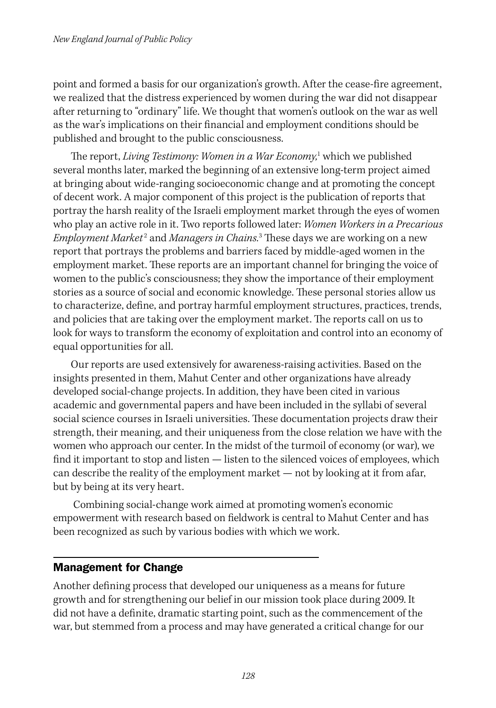point and formed a basis for our organization's growth. After the cease-fire agreement, we realized that the distress experienced by women during the war did not disappear after returning to "ordinary" life. We thought that women's outlook on the war as well as the war's implications on their financial and employment conditions should be published and brought to the public consciousness.

The report, *Living Testimony: Women in a War Economy,*<sup>1</sup> which we published several months later, marked the beginning of an extensive long-term project aimed at bringing about wide-ranging socioeconomic change and at promoting the concept of decent work. A major component of this project is the publication of reports that portray the harsh reality of the Israeli employment market through the eyes of women who play an active role in it. Two reports followed later: *Women Workers in a Precarious Employment Market* 2 and *Managers in Chains.*<sup>3</sup> These days we are working on a new report that portrays the problems and barriers faced by middle-aged women in the employment market. These reports are an important channel for bringing the voice of women to the public's consciousness; they show the importance of their employment stories as a source of social and economic knowledge. These personal stories allow us to characterize, define, and portray harmful employment structures, practices, trends, and policies that are taking over the employment market. The reports call on us to look for ways to transform the economy of exploitation and control into an economy of equal opportunities for all.

Our reports are used extensively for awareness-raising activities. Based on the insights presented in them, Mahut Center and other organizations have already developed social-change projects. In addition, they have been cited in various academic and governmental papers and have been included in the syllabi of several social science courses in Israeli universities. These documentation projects draw their strength, their meaning, and their uniqueness from the close relation we have with the women who approach our center. In the midst of the turmoil of economy (or war), we find it important to stop and listen — listen to the silenced voices of employees, which can describe the reality of the employment market — not by looking at it from afar, but by being at its very heart.

 Combining social-change work aimed at promoting women's economic empowerment with research based on fieldwork is central to Mahut Center and has been recognized as such by various bodies with which we work.

#### Management for Change

Another defining process that developed our uniqueness as a means for future growth and for strengthening our belief in our mission took place during 2009. It did not have a definite, dramatic starting point, such as the commencement of the war, but stemmed from a process and may have generated a critical change for our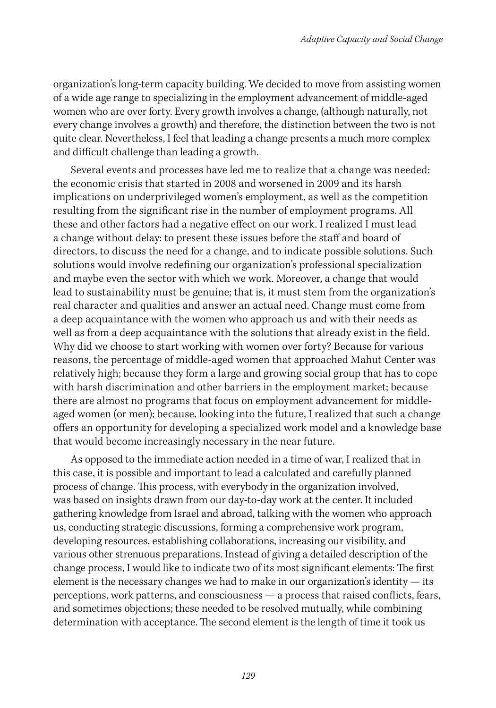organization's long-term capacity building. We decided to move from assisting women of a wide age range to specializing in the employment advancement of middle-aged women who are over forty. Every growth involves a change, (although naturally, not every change involves a growth) and therefore, the distinction between the two is not quite clear. Nevertheless, I feel that leading a change presents a much more complex and difficult challenge than leading a growth.

Several events and processes have led me to realize that a change was needed: the economic crisis that started in 2008 and worsened in 2009 and its harsh implications on underprivileged women's employment, as well as the competition resulting from the significant rise in the number of employment programs. All these and other factors had a negative effect on our work. I realized I must lead a change without delay: to present these issues before the staff and board of directors, to discuss the need for a change, and to indicate possible solutions. Such solutions would involve redefining our organization's professional specialization and maybe even the sector with which we work. Moreover, a change that would lead to sustainability must be genuine; that is, it must stem from the organization's real character and qualities and answer an actual need. Change must come from a deep acquaintance with the women who approach us and with their needs as well as from a deep acquaintance with the solutions that already exist in the field. Why did we choose to start working with women over forty? Because for various reasons, the percentage of middle-aged women that approached Mahut Center was relatively high; because they form a large and growing social group that has to cope with harsh discrimination and other barriers in the employment market; because there are almost no programs that focus on employment advancement for middleaged women (or men); because, looking into the future, I realized that such a change offers an opportunity for developing a specialized work model and a knowledge base that would become increasingly necessary in the near future.

As opposed to the immediate action needed in a time of war, I realized that in this case, it is possible and important to lead a calculated and carefully planned process of change. This process, with everybody in the organization involved, was based on insights drawn from our day-to-day work at the center. It included gathering knowledge from Israel and abroad, talking with the women who approach us, conducting strategic discussions, forming a comprehensive work program, developing resources, establishing collaborations, increasing our visibility, and various other strenuous preparations. Instead of giving a detailed description of the change process, I would like to indicate two of its most significant elements: The first element is the necessary changes we had to make in our organization's identity — its perceptions, work patterns, and consciousness — a process that raised conflicts, fears, and sometimes objections; these needed to be resolved mutually, while combining determination with acceptance. The second element is the length of time it took us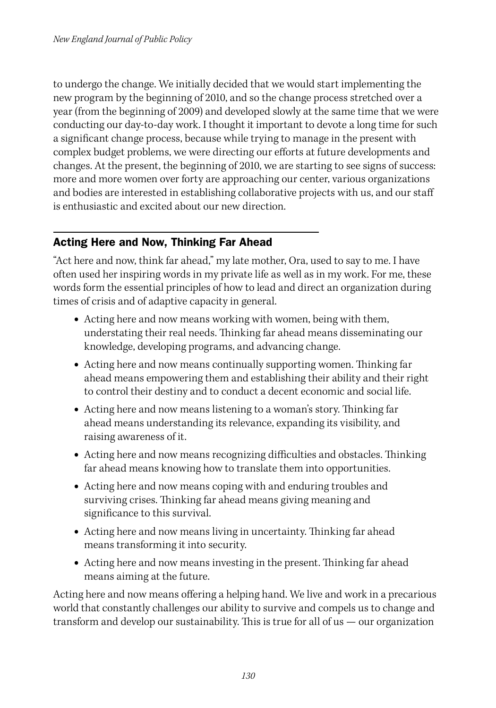to undergo the change. We initially decided that we would start implementing the new program by the beginning of 2010, and so the change process stretched over a year (from the beginning of 2009) and developed slowly at the same time that we were conducting our day-to-day work. I thought it important to devote a long time for such a significant change process, because while trying to manage in the present with complex budget problems, we were directing our efforts at future developments and changes. At the present, the beginning of 2010, we are starting to see signs of success: more and more women over forty are approaching our center, various organizations and bodies are interested in establishing collaborative projects with us, and our staff is enthusiastic and excited about our new direction.

#### Acting Here and Now, Thinking Far Ahead

"Act here and now, think far ahead," my late mother, Ora, used to say to me. I have often used her inspiring words in my private life as well as in my work. For me, these words form the essential principles of how to lead and direct an organization during times of crisis and of adaptive capacity in general.

- **•** Acting here and now means working with women, being with them, understating their real needs. Thinking far ahead means disseminating our knowledge, developing programs, and advancing change.
- **•** Acting here and now means continually supporting women. Thinking far ahead means empowering them and establishing their ability and their right to control their destiny and to conduct a decent economic and social life.
- **•** Acting here and now means listening to a woman's story. Thinking far ahead means understanding its relevance, expanding its visibility, and raising awareness of it.
- **•** Acting here and now means recognizing difficulties and obstacles. Thinking far ahead means knowing how to translate them into opportunities.
- **•** Acting here and now means coping with and enduring troubles and surviving crises. Thinking far ahead means giving meaning and significance to this survival.
- **•** Acting here and now means living in uncertainty. Thinking far ahead means transforming it into security.
- **•** Acting here and now means investing in the present. Thinking far ahead means aiming at the future.

Acting here and now means offering a helping hand. We live and work in a precarious world that constantly challenges our ability to survive and compels us to change and transform and develop our sustainability. This is true for all of us — our organization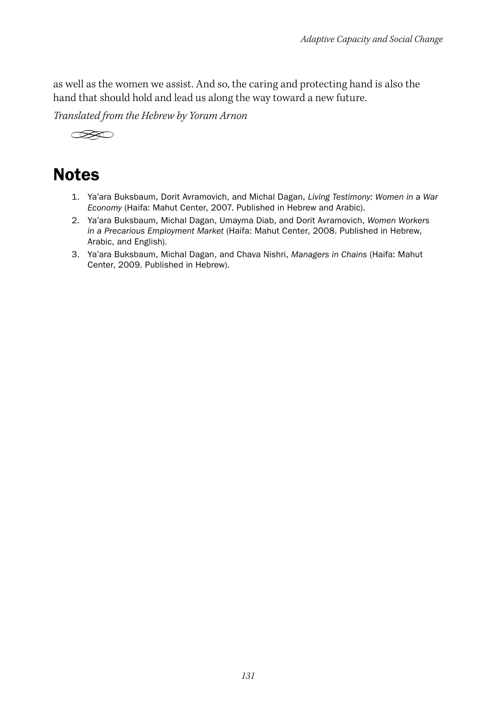as well as the women we assist. And so, the caring and protecting hand is also the hand that should hold and lead us along the way toward a new future.

*Translated from the Hebrew by Yoram Arnon* 

 $\infty$ 

### **Notes**

- 1. Ya'ara Buksbaum, Dorit Avramovich, and Michal Dagan, *Living Testimony: Women in a War Economy* (Haifa: Mahut Center, 2007. Published in Hebrew and Arabic).
- 2. Ya'ara Buksbaum, Michal Dagan, Umayma Diab, and Dorit Avramovich, *Women Workers in a Precarious Employment Market* (Haifa: Mahut Center, 2008. Published in Hebrew, Arabic, and English).
- 3. Ya'ara Buksbaum, Michal Dagan, and Chava Nishri, *Managers in Chains* (Haifa: Mahut Center, 2009. Published in Hebrew).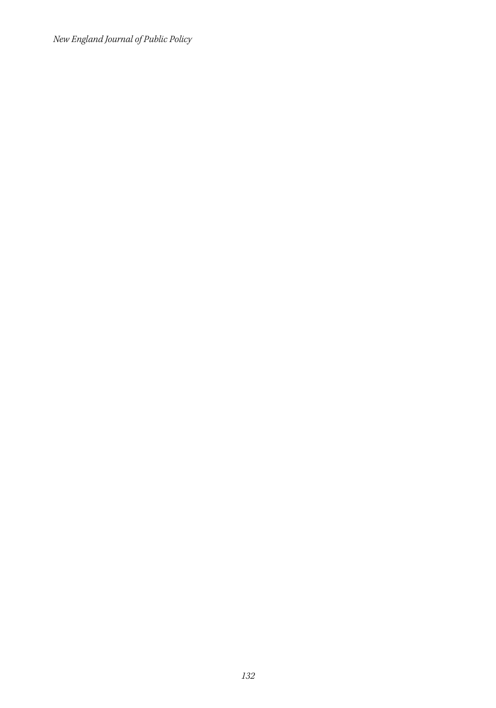*New England Journal of Public Policy*